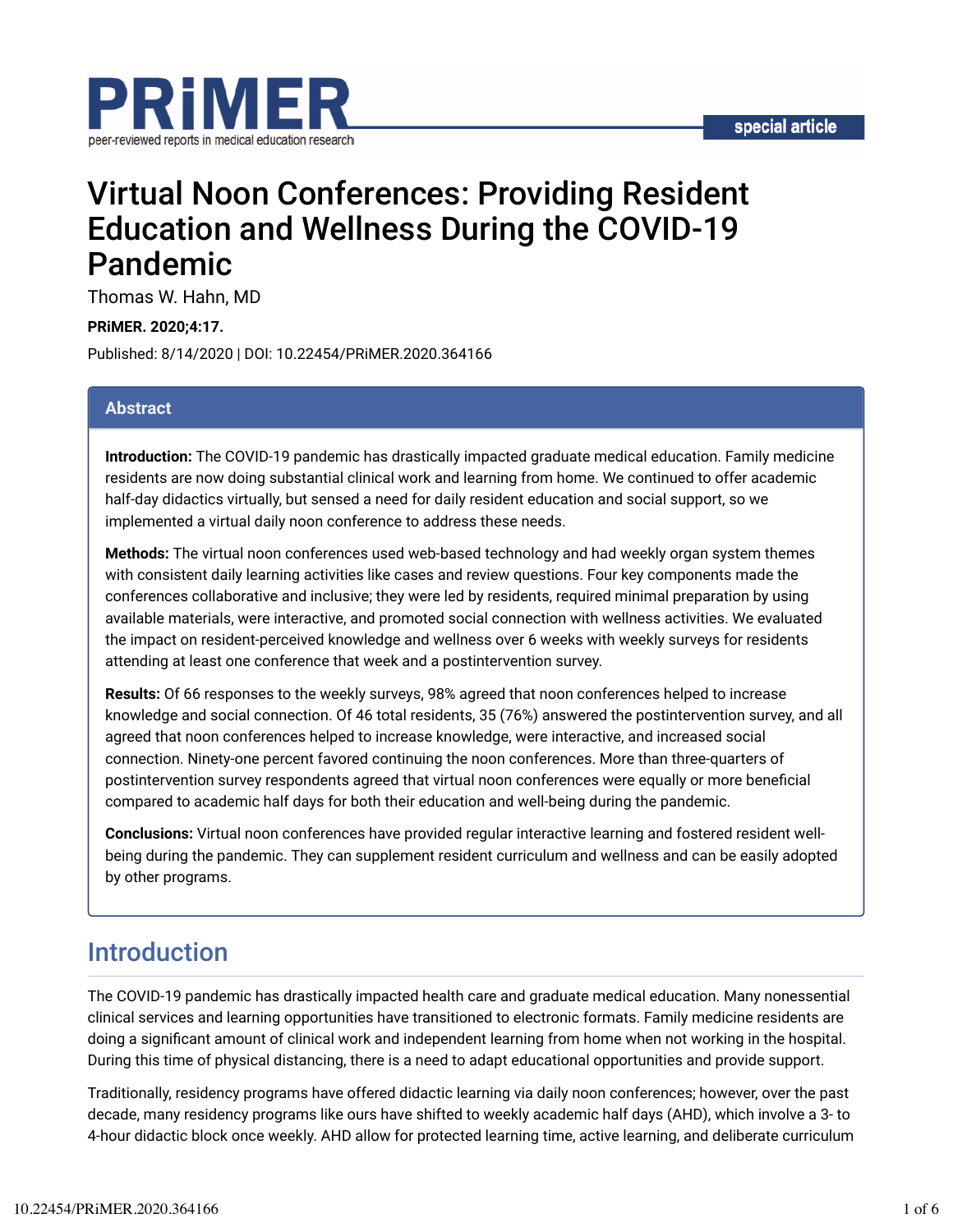

# Virtual Noon Conferences: Providing Resident Education and Wellness During the COVID-19 Pandemic

Thomas W. Hahn, MD

**PRiMER. 2020;4:17.**

Published: 8/14/2020 | DOI: 10.22454/PRiMER.2020.364166

#### **Abstract**

**Introduction:** The COVID-19 pandemic has drastically impacted graduate medical education. Family medicine residents are now doing substantial clinical work and learning from home. We continued to offer academic half-day didactics virtually, but sensed a need for daily resident education and social support, so we implemented a virtual daily noon conference to address these needs.

**Methods:** The virtual noon conferences used web-based technology and had weekly organ system themes with consistent daily learning activities like cases and review questions. Four key components made the conferences collaborative and inclusive; they were led by residents, required minimal preparation by using available materials, were interactive, and promoted social connection with wellness activities. We evaluated the impact on resident-perceived knowledge and wellness over 6 weeks with weekly surveys for residents attending at least one conference that week and a postintervention survey.

**Results:** Of 66 responses to the weekly surveys, 98% agreed that noon conferences helped to increase knowledge and social connection. Of 46 total residents, 35 (76%) answered the postintervention survey, and all agreed that noon conferences helped to increase knowledge, were interactive, and increased social connection. Ninety-one percent favored continuing the noon conferences. More than three-quarters of postintervention survey respondents agreed that virtual noon conferences were equally or more beneficial compared to academic half days for both their education and well-being during the pandemic.

**Conclusions:** Virtual noon conferences have provided regular interactive learning and fostered resident wellbeing during the pandemic. They can supplement resident curriculum and wellness and can be easily adopted by other programs.

## Introduction

The COVID-19 pandemic has drastically impacted health care and graduate medical education. Many nonessential clinical services and learning opportunities have transitioned to electronic formats. Family medicine residents are doing a significant amount of clinical work and independent learning from home when not working in the hospital. During this time of physical distancing, there is a need to adapt educational opportunities and provide support.

Traditionally, residency programs have offered didactic learning via daily noon conferences; however, over the past decade, many residency programs like ours have shifted to weekly academic half days (AHD), which involve a 3- to 4-hour didactic block once weekly. AHD allow for protected learning time, active learning, and deliberate curriculum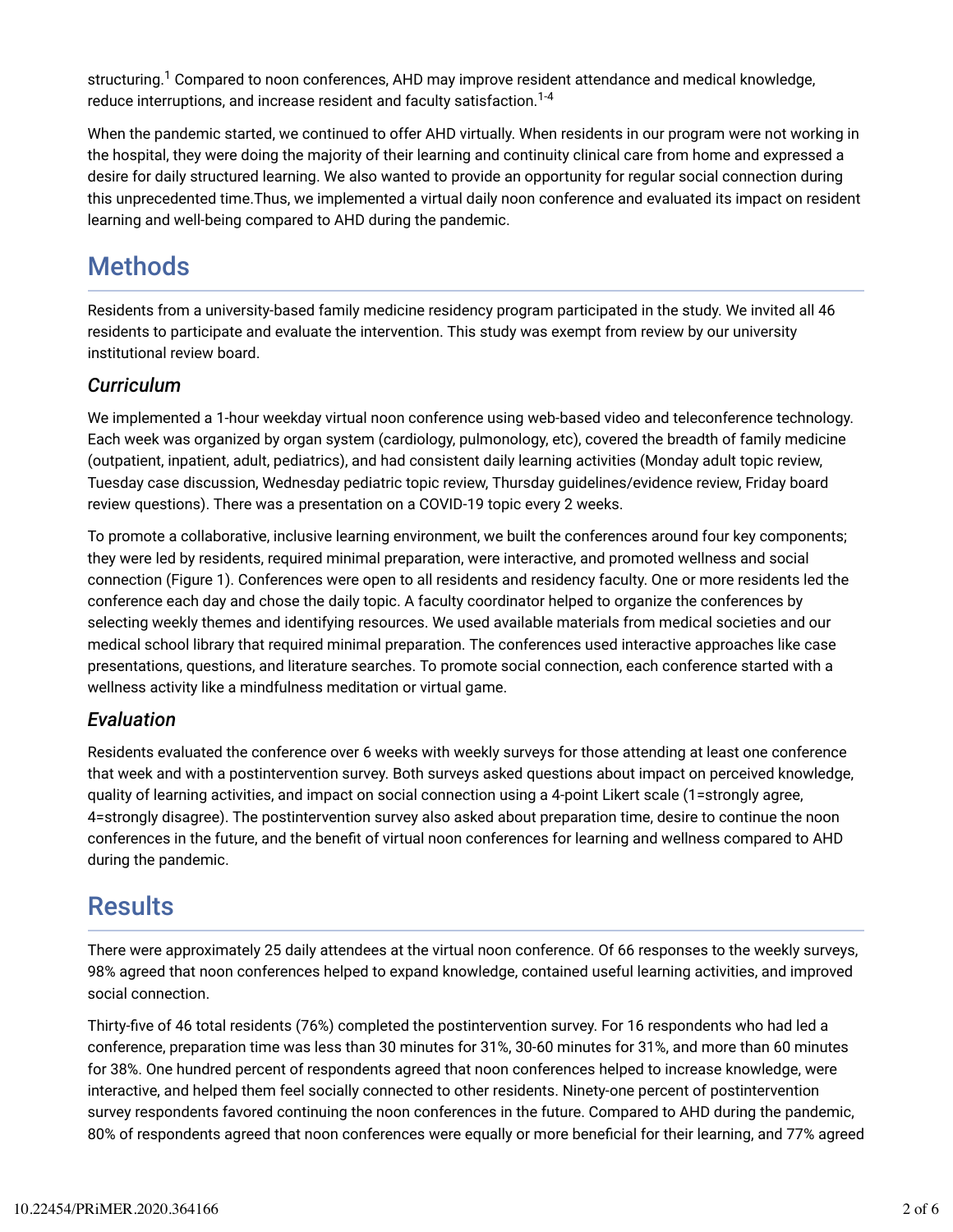structuring. $^1$  Compared to noon conferences, AHD may improve resident attendance and medical knowledge, reduce interruptions, and increase resident and faculty satisfaction. $^{1\text{-}4}$ 

When the pandemic started, we continued to offer AHD virtually. When residents in our program were not working in the hospital, they were doing the majority of their learning and continuity clinical care from home and expressed a desire for daily structured learning. We also wanted to provide an opportunity for regular social connection during this unprecedented time.Thus, we implemented a virtual daily noon conference and evaluated its impact on resident learning and well-being compared to AHD during the pandemic.

# **Methods**

Residents from a university-based family medicine residency program participated in the study. We invited all 46 residents to participate and evaluate the intervention. This study was exempt from review by our university institutional review board.

#### *Curriculum*

We implemented a 1-hour weekday virtual noon conference using web-based video and teleconference technology. Each week was organized by organ system (cardiology, pulmonology, etc), covered the breadth of family medicine (outpatient, inpatient, adult, pediatrics), and had consistent daily learning activities (Monday adult topic review, Tuesday case discussion, Wednesday pediatric topic review, Thursday guidelines/evidence review, Friday board review questions). There was a presentation on a COVID-19 topic every 2 weeks.

To promote a collaborative, inclusive learning environment, we built the conferences around four key components; they were led by residents, required minimal preparation, were interactive, and promoted wellness and social connection (Figure 1). Conferences were open to all residents and residency faculty. One or more residents led the conference each day and chose the daily topic. A faculty coordinator helped to organize the conferences by selecting weekly themes and identifying resources. We used available materials from medical societies and our medical school library that required minimal preparation. The conferences used interactive approaches like case presentations, questions, and literature searches. To promote social connection, each conference started with a wellness activity like a mindfulness meditation or virtual game.

#### *Evaluation*

Residents evaluated the conference over 6 weeks with weekly surveys for those attending at least one conference that week and with a postintervention survey. Both surveys asked questions about impact on perceived knowledge, quality of learning activities, and impact on social connection using a 4-point Likert scale (1=strongly agree, 4=strongly disagree). The postintervention survey also asked about preparation time, desire to continue the noon conferences in the future, and the benefit of virtual noon conferences for learning and wellness compared to AHD during the pandemic.

### **Results**

There were approximately 25 daily attendees at the virtual noon conference. Of 66 responses to the weekly surveys, 98% agreed that noon conferences helped to expand knowledge, contained useful learning activities, and improved social connection.

Thirty-five of 46 total residents (76%) completed the postintervention survey. For 16 respondents who had led a conference, preparation time was less than 30 minutes for 31%, 30-60 minutes for 31%, and more than 60 minutes for 38%. One hundred percent of respondents agreed that noon conferences helped to increase knowledge, were interactive, and helped them feel socially connected to other residents. Ninety-one percent of postintervention survey respondents favored continuing the noon conferences in the future. Compared to AHD during the pandemic, 80% of respondents agreed that noon conferences were equally or more beneficial for their learning, and 77% agreed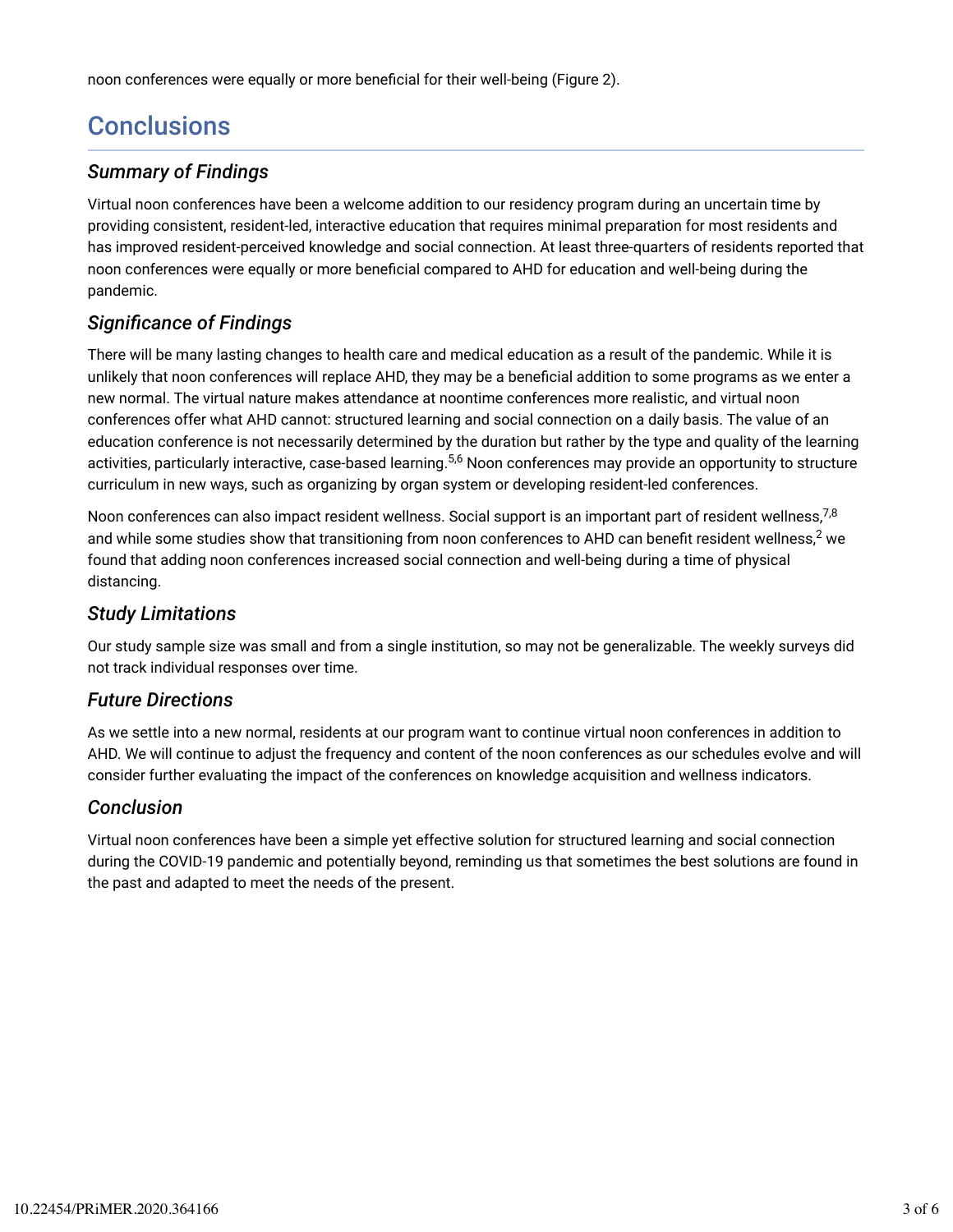noon conferences were equally or more beneficial for their well-being (Figure 2).

# **Conclusions**

#### *Summary of Findings*

Virtual noon conferences have been a welcome addition to our residency program during an uncertain time by providing consistent, resident-led, interactive education that requires minimal preparation for most residents and has improved resident-perceived knowledge and social connection. At least three-quarters of residents reported that noon conferences were equally or more beneficial compared to AHD for education and well-being during the pandemic.

### *Signi6cance of Findings*

There will be many lasting changes to health care and medical education as a result of the pandemic. While it is unlikely that noon conferences will replace AHD, they may be a beneficial addition to some programs as we enter a new normal. The virtual nature makes attendance at noontime conferences more realistic, and virtual noon conferences offer what AHD cannot: structured learning and social connection on a daily basis. The value of an education conference is not necessarily determined by the duration but rather by the type and quality of the learning activities, particularly interactive, case-based learning.<sup>5,6</sup> Noon conferences may provide an opportunity to structure curriculum in new ways, such as organizing by organ system or developing resident-led conferences.

Noon conferences can also impact resident wellness. Social support is an important part of resident wellness, $^{7,8}$ and while some studies show that transitioning from noon conferences to AHD can benefit resident wellness, $^2$  we found that adding noon conferences increased social connection and well-being during a time of physical distancing.

#### *Study Limitations*

Our study sample size was small and from a single institution, so may not be generalizable. The weekly surveys did not track individual responses over time.

#### *Future Directions*

As we settle into a new normal, residents at our program want to continue virtual noon conferences in addition to AHD. We will continue to adjust the frequency and content of the noon conferences as our schedules evolve and will consider further evaluating the impact of the conferences on knowledge acquisition and wellness indicators.

#### *Conclusion*

Virtual noon conferences have been a simple yet effective solution for structured learning and social connection during the COVID-19 pandemic and potentially beyond, reminding us that sometimes the best solutions are found in the past and adapted to meet the needs of the present.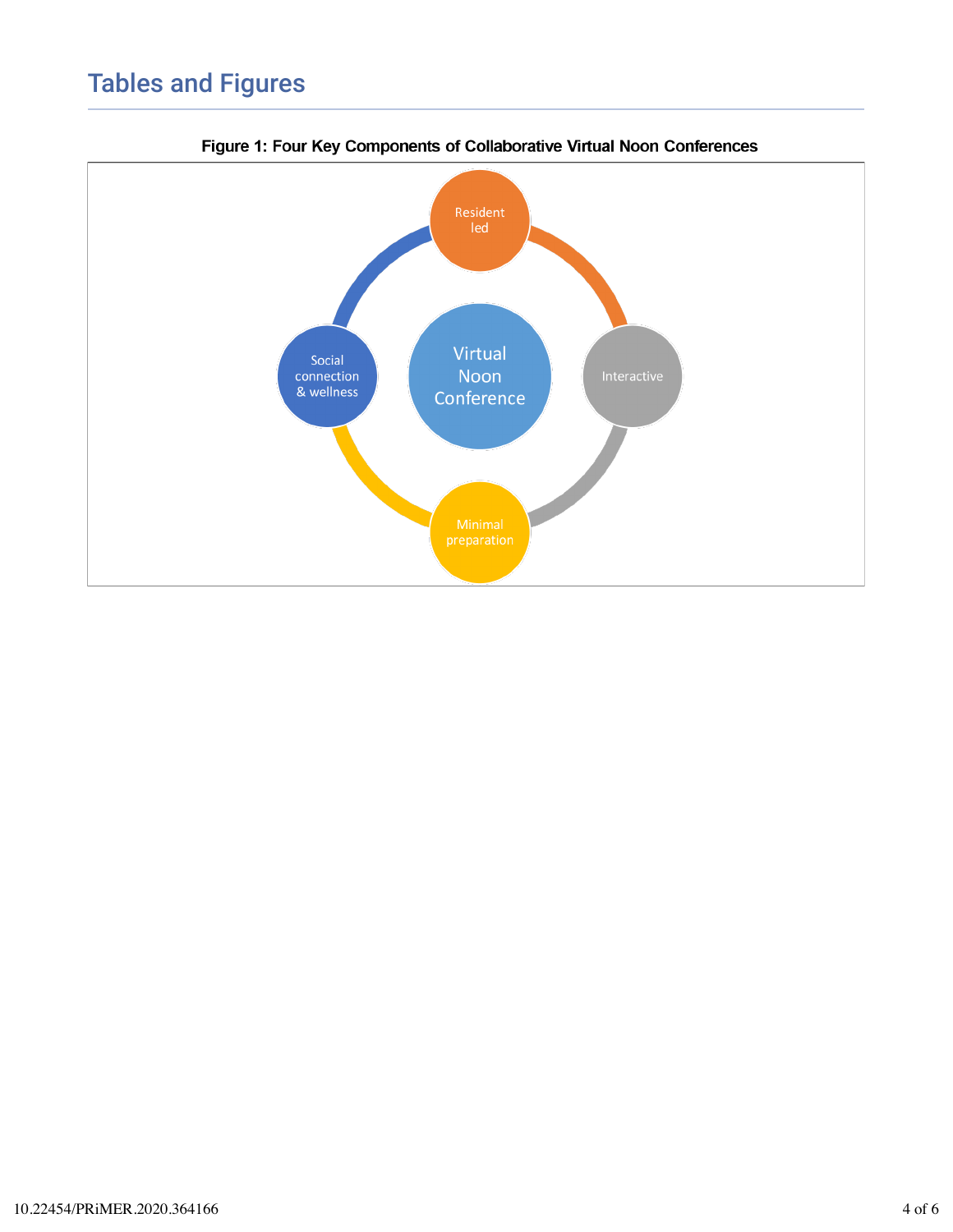# Tables and Figures



Figure 1: Four Key Components of Collaborative Virtual Noon Conferences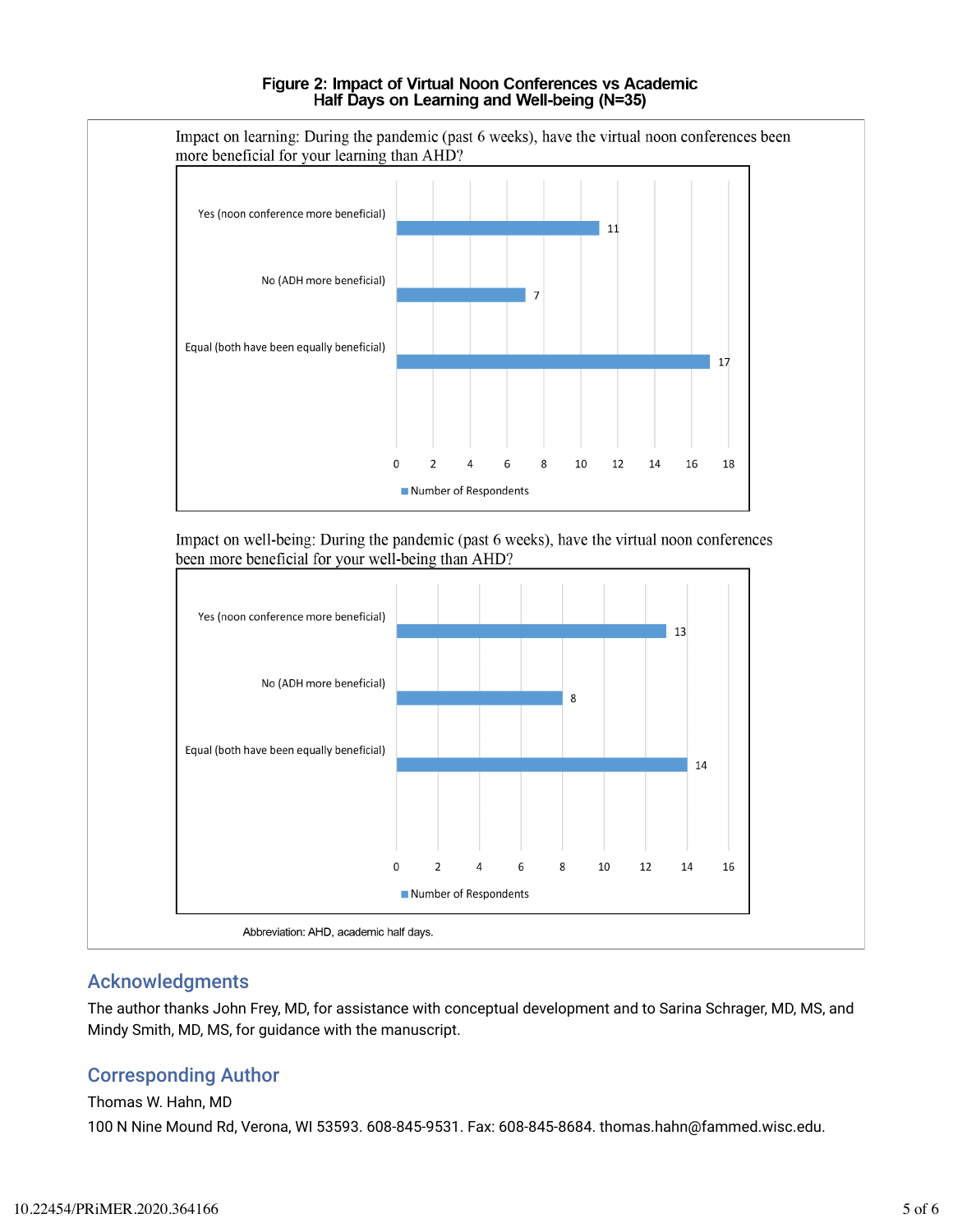#### Figure 2: Impact of Virtual Noon Conferences vs Academic Half Days on Learning and Well-being (N=35)



#### Acknowledgments

The author thanks John Frey, MD, for assistance with conceptual development and to Sarina Schrager, MD, MS, and Mindy Smith, MD, MS, for guidance with the manuscript.

### Corresponding Author

#### Thomas W. Hahn, MD

100 N Nine Mound Rd, Verona, WI 53593. 608-845-9531. Fax: 608-845-8684. thomas.hahn@fammed.wisc.edu.